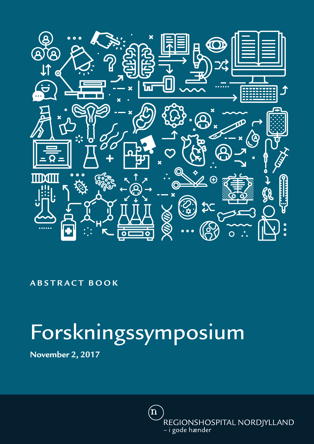

### **ABSTRACT BOOK**

# Forskningssymposium

**November 2, 2017**

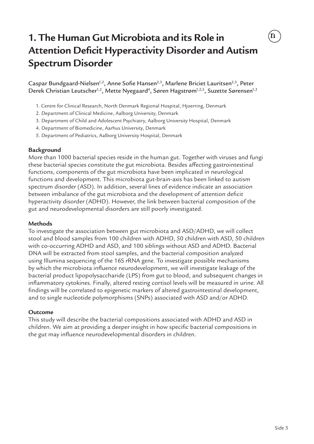# **1. The Human Gut Microbiota and its Role in Attention Deficit Hyperactivity Disorder and Autism Spectrum Disorder**

Caspar Bundgaard-Nielsen<sup>1,2</sup>, Anne Sofie Hansen<sup>2,3</sup>, Marlene Briciet Lauritsen<sup>2,3</sup>, Peter Derek Christian Leutscher<sup>1,2</sup>, Mette Nyegaard<sup>4</sup>, Søren Hagstrøm<sup>1,2,5</sup>, Suzette Sørensen<sup>1,2</sup>

- 1. Centre for Clinical Research, North Denmark Regional Hospital, Hjoerring, Denmark
- 2. Department of Clinical Medicine, Aalborg University, Denmark
- 3. Department of Child and Adolescent Psychiatry, Aalborg University Hospital, Denmark
- 4. Department of Biomedicine, Aarhus University, Denmark
- 5. Department of Pediatrics, Aalborg University Hospital, Denmark

### **Background**

More than 1000 bacterial species reside in the human gut. Together with viruses and fungi these bacterial species constitute the gut microbiota. Besides affecting gastrointestinal functions, components of the gut microbiota have been implicated in neurological functions and development. This microbiota gut-brain-axis has been linked to autism spectrum disorder (ASD). In addition, several lines of evidence indicate an association between imbalance of the gut microbiota and the development of attention deficit hyperactivity disorder (ADHD). However, the link between bacterial composition of the gut and neurodevelopmental disorders are still poorly investigated.

#### **Methods**

To investigate the association between gut microbiota and ASD/ADHD, we will collect stool and blood samples from 100 children with ADHD, 50 children with ASD, 50 children with co-occurring ADHD and ASD, and 100 siblings without ASD and ADHD. Bacterial DNA will be extracted from stool samples, and the bacterial composition analyzed using Illumina sequencing of the 16S rRNA gene. To investigate possible mechanisms by which the microbiota influence neurodevelopment, we will investigate leakage of the bacterial product lipopolysaccharide (LPS) from gut to blood, and subsequent changes in inflammatory cytokines. Finally, altered resting cortisol levels will be measured in urine. All findings will be correlated to epigenetic markers of altered gastrointestinal development, and to single nucleotide polymorphisms (SNPs) associated with ASD and/or ADHD.

### **Outcome**

This study will describe the bacterial compositions associated with ADHD and ASD in children. We aim at providing a deeper insight in how specific bacterial compositions in the gut may influence neurodevelopmental disorders in children.

 $\rm \acute{\text{n}}$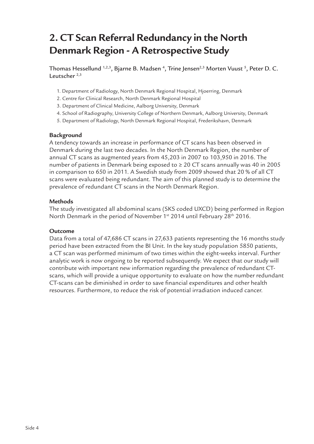### **2. CT Scan Referral Redundancy in the North Denmark Region - A Retrospective Study**

Thomas Hessellund 1,2,3, Bjarne B. Madsen <sup>4</sup>, Trine Jensen<sup>2,3</sup> Morten Vuust <sup>5</sup>, Peter D. C. Leutscher<sup>2,3</sup>

- 1. Department of Radiology, North Denmark Regional Hospital, Hjoerring, Denmark
- 2. Centre for Clinical Research, North Denmark Regional Hospital
- 3. Department of Clinical Medicine, Aalborg University, Denmark
- 4. School of Radiography, University College of Northern Denmark, Aalborg University, Denmark
- 5. Department of Radiology, North Denmark Regional Hospital, Frederikshavn, Denmark

### **Background**

A tendency towards an increase in performance of CT scans has been observed in Denmark during the last two decades. In the North Denmark Region, the number of annual CT scans as augmented years from 45,203 in 2007 to 103,950 in 2016. The number of patients in Denmark being exposed to  $\geq 20$  CT scans annually was 40 in 2005 in comparison to 650 in 2011. A Swedish study from 2009 showed that 20 % of all CT scans were evaluated being redundant. The aim of this planned study is to determine the prevalence of redundant CT scans in the North Denmark Region.

### **Methods**

The study investigated all abdominal scans (SKS coded UXCD) being performed in Region North Denmark in the period of November 1<sup>st</sup> 2014 until February 28<sup>th</sup> 2016.

### **Outcome**

Data from a total of 47,686 CT scans in 27,633 patients representing the 16 months study period have been extracted from the BI Unit. In the key study population 5850 patients, a CT scan was performed minimum of two times within the eight-weeks interval. Further analytic work is now ongoing to be reported subsequently. We expect that our study will contribute with important new information regarding the prevalence of redundant CTscans, which will provide a unique opportunity to evaluate on how the number redundant CT-scans can be diminished in order to save financial expenditures and other health resources. Furthermore, to reduce the risk of potential irradiation induced cancer.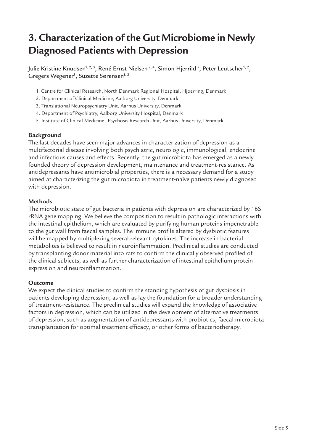### **3. Characterization of the Gut Microbiome in Newly Diagnosed Patients with Depression**

Julie Kristine Knudsen<sup>1, 2, 3</sup>, René Ernst Nielsen<sup>2, 4</sup>, Simon Hjerrild<sup>5</sup>, Peter Leutscher<sup>1, 2</sup>, Gregers Wegener<sup>3</sup>, Suzette Sørensen $^{1, 2}$ 

- 1. Centre for Clinical Research, North Denmark Regional Hospital, Hjoerring, Denmark
- 2. Department of Clinical Medicine, Aalborg University, Denmark
- 3. Translational Neuropsychiatry Unit, Aarhus University, Denmark
- 4. Department of Psychiatry, Aalborg University Hospital, Denmark
- 5. Institute of Clinical Medicine –Psychosis Research Unit, Aarhus University, Denmark

### **Background**

The last decades have seen major advances in characterization of depression as a multifactorial disease involving both psychiatric, neurologic, immunological, endocrine and infectious causes and effects. Recently, the gut microbiota has emerged as a newly founded theory of depression development, maintenance and treatment-resistance. As antidepressants have antimicrobial properties, there is a necessary demand for a study aimed at characterizing the gut microbiota in treatment-naïve patients newly diagnosed with depression.

#### **Methods**

The microbiotic state of gut bacteria in patients with depression are characterized by 16S rRNA gene mapping. We believe the composition to result in pathologic interactions with the intestinal epithelium, which are evaluated by purifying human proteins impenetrable to the gut wall from faecal samples. The immune profile altered by dysbiotic features will be mapped by multiplexing several relevant cytokines. The increase in bacterial metabolites is believed to result in neuroinflammation. Preclinical studies are conducted by transplanting donor material into rats to confirm the clinically observed profiled of the clinical subjects, as well as further characterization of intestinal epithelium protein expression and neuroinflammation.

### **Outcome**

We expect the clinical studies to confirm the standing hypothesis of gut dysbiosis in patients developing depression, as well as lay the foundation for a broader understanding of treatment-resistance. The preclinical studies will expand the knowledge of associative factors in depression, which can be utilized in the development of alternative treatments of depression, such as augmentation of antidepressants with probiotics, faecal microbiota transplantation for optimal treatment efficacy, or other forms of bacteriotherapy.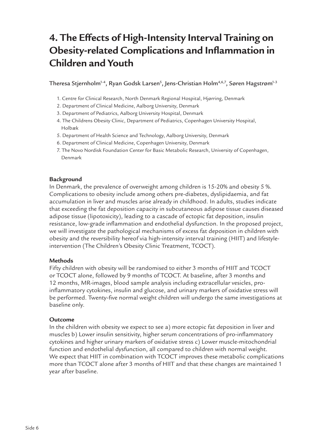### **4. The Effects of High-Intensity Interval Training on Obesity-related Complications and Inflammation in Children and Youth**

Theresa Stjernholm<sup>1-4</sup>, Ryan Godsk Larsen<sup>s</sup>, Jens-Christian Holm<sup>4,6,7</sup>, Søren Hagstrøm<sup>1-3</sup>

- 1. Centre for Clinical Research, North Denmark Regional Hospital, Hjørring, Denmark
- 2. Department of Clinical Medicine, Aalborg University, Denmark
- 3. Department of Pediatrics, Aalborg University Hospital, Denmark
- 4. The Childrens Obesity Clinic, Department of Pediatrics, Copenhagen University Hospital, Holbæk
- 5. Department of Health Science and Technology, Aalborg University, Denmark
- 6. Department of Clinical Medicine, Copenhagen University, Denmark
- 7. The Novo Nordisk Foundation Center for Basic Metabolic Research, University of Copenhagen, Denmark

### **Background**

In Denmark, the prevalence of overweight among children is 15-20% and obesity 5 %. Complications to obesity include among others pre-diabetes, dyslipidaemia, and fat accumulation in liver and muscles arise already in childhood. In adults, studies indicate that exceeding the fat deposition capacity in subcutaneous adipose tissue causes diseased adipose tissue (lipotoxicity), leading to a cascade of ectopic fat deposition, insulin resistance, low-grade inflammation and endothelial dysfunction. In the proposed project, we will investigate the pathological mechanisms of excess fat deposition in children with obesity and the reversibility hereof via high-intensity interval training (HIIT) and lifestyleintervention (The Children's Obesity Clinic Treatment, TCOCT).

### **Methods**

Fifty children with obesity will be randomised to either 3 months of HIIT and TCOCT or TCOCT alone, followed by 9 months of TCOCT. At baseline, after 3 months and 12 months, MR-images, blood sample analysis including extracellular vesicles, proinflammatory cytokines, insulin and glucose, and urinary markers of oxidative stress will be performed. Twenty-five normal weight children will undergo the same investigations at baseline only.

### **Outcome**

In the children with obesity we expect to see a) more ectopic fat deposition in liver and muscles b) Lower insulin sensitivity, higher serum concentrations of pro-inflammatory cytokines and higher urinary markers of oxidative stress c) Lower muscle-mitochondrial function and endothelial dysfunction, all compared to children with normal weight. We expect that HIIT in combination with TCOCT improves these metabolic complications more than TCOCT alone after 3 months of HIIT and that these changes are maintained 1 year after baseline.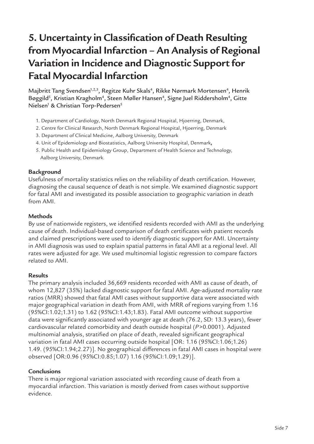# **5. Uncertainty in Classification of Death Resulting from Myocardial Infarction – An Analysis of Regional Variation in Incidence and Diagnostic Support for Fatal Myocardial Infarction**

Majbritt Tang Svendsen<sup>1,2,3</sup>, Regitze Kuhr Skals<sup>4</sup>, Rikke Nørmark Mortensen<sup>4</sup>, Henrik Bøggild<sup>s</sup>, Kristian Kragholm<sup>4</sup>, Steen Møller Hansen<sup>4</sup>, Signe Juel Riddersholm<sup>4</sup>, Gitte Nielsen<sup>1</sup> & Christian Torp-Pedersen<sup>5</sup>

- 1. Department of Cardiology, North Denmark Regional Hospital, Hjoerring, Denmark,
- 2. Centre for Clinical Research, North Denmark Regional Hospital, Hjoerring, Denmark
- 3. Department of Clinical Medicine, Aalborg University, Denmark
- 4. Unit of Epidemiology and Biostatistics, Aalborg University Hospital, Denmark**,**
- 5. Public Health and Epidemiology Group, Department of Health Science and Technology, Aalborg University, Denmark.

### **Background**

Usefulness of mortality statistics relies on the reliability of death certification. However, diagnosing the causal sequence of death is not simple. We examined diagnostic support for fatal AMI and investigated its possible association to geographic variation in death from AMI.

### **Methods**

By use of nationwide registers, we identified residents recorded with AMI as the underlying cause of death. Individual-based comparison of death certificates with patient records and claimed prescriptions were used to identify diagnostic support for AMI. Uncertainty in AMI diagnosis was used to explain spatial patterns in fatal AMI at a regional level. All rates were adjusted for age. We used multinomial logistic regression to compare factors related to AMI.

### **Results**

The primary analysis included 36,669 residents recorded with AMI as cause of death, of whom 12,827 (35%) lacked diagnostic support for fatal AMI. Age-adjusted mortality rate ratios (MRR) showed that fatal AMI cases without supportive data were associated with major geographical variation in death from AMI, with MRR of regions varying from 1.16 (95%CI:1.02;1.31) to 1.62 (95%CI:1.43;1.83). Fatal AMI outcome without supportive data were significantly associated with younger age at death (76.2, SD: 13.3 years), fewer cardiovascular related comorbidity and death outside hospital (*P*>0.0001). Adjusted multinomial analysis, stratified on place of death, revealed significant geographical variation in fatal AMI cases occurring outside hospital [OR: 1.16 (95%CI:1.06;1.26) 1.49. (95%CI:1.94;2.27)]. No geographical differences in fatal AMI cases in hospital were observed [OR:0.96 (95%CI:0.85;1.07) 1.16 (95%CI:1.09;1.29)].

### **Conclusions**

There is major regional variation associated with recording cause of death from a myocardial infarction. This variation is mostly derived from cases without supportive evidence.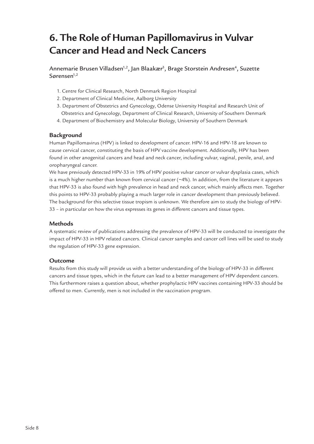### **6. The Role of Human Papillomavirus in Vulvar Cancer and Head and Neck Cancers**

Annemarie Brusen Villadsen<sup>1,2</sup>, Jan Blaakær<sup>3</sup>, Brage Storstein Andresen<sup>4</sup>, Suzette Sørensen $1,2$ 

- 1. Centre for Clinical Research, North Denmark Region Hospital
- 2. Department of Clinical Medicine, Aalborg University
- 3. Department of Obstetrics and Gynecology, Odense University Hospital and Research Unit of Obstetrics and Gynecology, Department of Clinical Research, University of Southern Denmark
- 4. Department of Biochemistry and Molecular Biology, University of Southern Denmark

#### **Background**

Human Papillomavirus (HPV) is linked to development of cancer. HPV-16 and HPV-18 are known to cause cervical cancer, constituting the basis of HPV vaccine development. Additionally, HPV has been found in other anogenital cancers and head and neck cancer, including vulvar, vaginal, penile, anal, and oropharyngeal cancer.

We have previously detected HPV-33 in 19% of HPV positive vulvar cancer or vulvar dysplasia cases, which is a much higher number than known from cervical cancer (~4%). In addition, from the literature it appears that HPV-33 is also found with high prevalence in head and neck cancer, which mainly affects men. Together this points to HPV-33 probably playing a much larger role in cancer development than previously believed. The background for this selective tissue tropism is unknown. We therefore aim to study the biology of HPV-33 – in particular on how the virus expresses its genes in different cancers and tissue types.

#### **Methods**

A systematic review of publications addressing the prevalence of HPV-33 will be conducted to investigate the impact of HPV-33 in HPV related cancers. Clinical cancer samples and cancer cell lines will be used to study the regulation of HPV-33 gene expression.

#### **Outcome**

Results from this study will provide us with a better understanding of the biology of HPV-33 in different cancers and tissue types, which in the future can lead to a better management of HPV dependent cancers. This furthermore raises a question about, whether prophylactic HPV vaccines containing HPV-33 should be offered to men. Currently, men is not included in the vaccination program.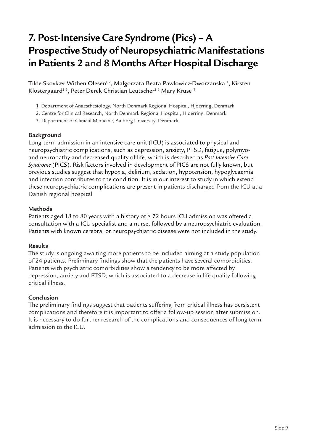# **7. Post-Intensive Care Syndrome (Pics) – A Prospective Study of Neuropsychiatric Manifestations in Patients 2 and 8 Months After Hospital Discharge**

Tilde Skovkær Withen Olesen<sup>1,2</sup>, Malgorzata Beata Pawlowicz-Dworzanska <sup>1</sup>, Kirsten Klostergaard<sup>2,3</sup>, Peter Derek Christian Leutscher<sup>2,3</sup> Mary Kruse<sup>1</sup>

- 1. Department of Anaesthesiology, North Denmark Regional Hospital, Hjoerring, Denmark
- 2. Centre for Clinical Research, North Denmark Regional Hospital, Hjoerring. Denmark
- 3. Department of Clinical Medicine, Aalborg University, Denmark

### **Background**

Long-term admission in an intensive care unit (ICU) is associated to physical and neuropsychiatric complications, such as depression, anxiety, PTSD, fatigue, polymyoand neuropathy and decreased quality of life, which is described as *Post Intensive Care Syndrome* (PICS). Risk factors involved in development of PICS are not fully known, but previous studies suggest that hypoxia, delirium, sedation, hypotension, hypoglycaemia and infection contributes to the condition. It is in our interest to study in which extend these neuropsychiatric complications are present in patients discharged from the ICU at a Danish regional hospital

### **Methods**

Patients aged 18 to 80 years with a history of ≥ 72 hours ICU admission was offered a consultation with a ICU specialist and a nurse, followed by a neuropsychiatric evaluation. Patients with known cerebral or neuropsychiatric disease were not included in the study.

### **Results**

The study is ongoing awaiting more patients to be included aiming at a study population of 24 patients. Preliminary findings show that the patients have several comorbidities. Patients with psychiatric comorbidities show a tendency to be more affected by depression, anxiety and PTSD, which is associated to a decrease in life quality following critical illness.

### **Conclusion**

The preliminary findings suggest that patients suffering from critical illness has persistent complications and therefore it is important to offer a follow-up session after submission. It is necessary to do further research of the complications and consequences of long term admission to the ICU.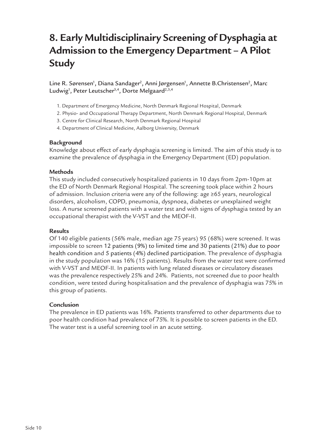## **8. Early Multidisciplinairy Screening of Dysphagia at Admission to the Emergency Department – A Pilot Study**

Line R. Sørensen<sup>1</sup>, Diana Sandager<sup>2</sup>, Anni Jørgensen<sup>1</sup>, Annette B.Christensen<sup>2</sup>, Marc Ludwig<sup>1</sup>, Peter Leutscher<sup>3,4</sup>, Dorte Melgaard<sup>2,3,4</sup>

- 1. Department of Emergency Medicine, North Denmark Regional Hospital, Denmark
- 2. Physio- and Occupational Therapy Department, North Denmark Regional Hospital, Denmark
- 3. Centre for Clinical Research, North Denmark Regional Hospital
- 4. Department of Clinical Medicine, Aalborg University, Denmark

### **Background**

Knowledge about effect of early dysphagia screening is limited. The aim of this study is to examine the prevalence of dysphagia in the Emergency Department (ED) population.

### **Methods**

This study included consecutively hospitalized patients in 10 days from 2pm-10pm at the ED of North Denmark Regional Hospital. The screening took place within 2 hours of admission. Inclusion criteria were any of the following: age ≥65 years, neurological disorders, alcoholism, COPD, pneumonia, dyspnoea, diabetes or unexplained weight loss. A nurse screened patients with a water test and with signs of dysphagia tested by an occupational therapist with the V-VST and the MEOF-II.

### **Results**

Of 140 eligible patients (56% male, median age 75 years) 95 (68%) were screened. It was impossible to screen 12 patients (9%) to limited time and 30 patients (21%) due to poor health condition and 5 patients (4%) declined participation. The prevalence of dysphagia in the study population was 16% (15 patients). Results from the water test were confirmed with V-VST and MEOF-II. In patients with lung related diseases or circulatory diseases was the prevalence respectively 25% and 24%. Patients, not screened due to poor health condition, were tested during hospitalisation and the prevalence of dysphagia was 75% in this group of patients.

### **Conclusion**

The prevalence in ED patients was 16%. Patients transferred to other departments due to poor health condition had prevalence of 75%. It is possible to screen patients in the ED. The water test is a useful screening tool in an acute setting.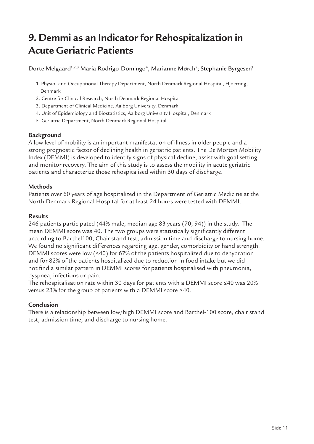# **9. Demmi as an Indicator for Rehospitalization in Acute Geriatric Patients**

Dorte Melgaard<sup>1,2,3</sup> Maria Rodrigo-Domingo<sup>4</sup>, Marianne Mørch<sup>5</sup>; Stephanie Byrgesen<sup>1</sup>

- 1. Physio- and Occupational Therapy Department, North Denmark Regional Hospital, Hjoerring, Denmark
- 2. Centre for Clinical Research, North Denmark Regional Hospital
- 3. Department of Clinical Medicine, Aalborg University, Denmark
- 4. Unit of Epidemiology and Biostatistics, Aalborg University Hospital, Denmark
- 5. Geriatric Department, North Denmark Regional Hospital

### **Background**

A low level of mobility is an important manifestation of illness in older people and a strong prognostic factor of declining health in geriatric patients. The De Morton Mobility Index (DEMMI) is developed to identify signs of physical decline, assist with goal setting and monitor recovery. The aim of this study is to assess the mobility in acute geriatric patients and characterize those rehospitalised within 30 days of discharge.

### **Methods**

Patients over 60 years of age hospitalized in the Department of Geriatric Medicine at the North Denmark Regional Hospital for at least 24 hours were tested with DEMMI.

### **Results**

246 patients participated (44% male, median age 83 years (70; 94)) in the study. The mean DEMMI score was 40. The two groups were statistically significantly different according to Barthel100, Chair stand test, admission time and discharge to nursing home. We found no significant differences regarding age, gender, comorbidity or hand strength. DEMMI scores were low (≤40) for 67% of the patients hospitalized due to dehydration and for 82% of the patients hospitalized due to reduction in food intake but we did not find a similar pattern in DEMMI scores for patients hospitalised with pneumonia, dyspnea, infections or pain.

The rehospitalisation rate within 30 days for patients with a DEMMI score ≤40 was 20% versus 23% for the group of patients with a DEMMI score >40.

### **Conclusion**

There is a relationship between low/high DEMMI score and Barthel-100 score, chair stand test, admission time, and discharge to nursing home.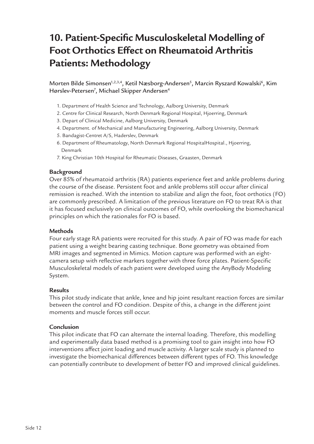### **10. Patient-Specific Musculoskeletal Modelling of Foot Orthotics Effect on Rheumatoid Arthritis Patients: Methodology**

Morten Bilde Simonsen<sup>1,2,3,4</sup>, Ketil Næsborg-Andersen<sup>5</sup>, Marcin Ryszard Kowalski<sup>6</sup>, Kim Hørslev-Petersen<sup>7</sup>, Michael Skipper Andersen<sup>4</sup>

- 1. Department of Health Science and Technology, Aalborg University, Denmark
- 2. Centre for Clinical Research, North Denmark Regional Hospital, Hjoerring, Denmark
- 3. Depart of Clinical Medicine, Aalborg University, Denmark
- 4. Department. of Mechanical and Manufacturing Engineering, Aalborg University, Denmark
- 5. Bandagist-Centret A/S, Haderslev, Denmark
- 6. Department of Rheumatology, North Denmark Regional HospitalHospital., Hjoerring, Denmark
- 7. King Christian 10th Hospital for Rheumatic Diseases, Graasten, Denmark

### **Background**

Over 85% of rheumatoid arthritis (RA) patients experience feet and ankle problems during the course of the disease. Persistent foot and ankle problems still occur after clinical remission is reached. With the intention to stabilize and align the foot, foot orthotics (FO) are commonly prescribed. A limitation of the previous literature on FO to treat RA is that it has focused exclusively on clinical outcomes of FO, while overlooking the biomechanical principles on which the rationales for FO is based.

### **Methods**

Four early stage RA patients were recruited for this study. A pair of FO was made for each patient using a weight bearing casting technique. Bone geometry was obtained from MRI images and segmented in Mimics. Motion capture was performed with an eightcamera setup with reflective markers together with three force plates. Patient-Specific Musculoskeletal models of each patient were developed using the AnyBody Modeling System.

### **Results**

This pilot study indicate that ankle, knee and hip joint resultant reaction forces are similar between the control and FO condition. Despite of this, a change in the different joint moments and muscle forces still occur.

### **Conclusion**

This pilot indicate that FO can alternate the internal loading. Therefore, this modelling and experimentally data based method is a promising tool to gain insight into how FO interventions affect joint loading and muscle activity. A larger scale study is planned to investigate the biomechanical differences between different types of FO. This knowledge can potentially contribute to development of better FO and improved clinical guidelines.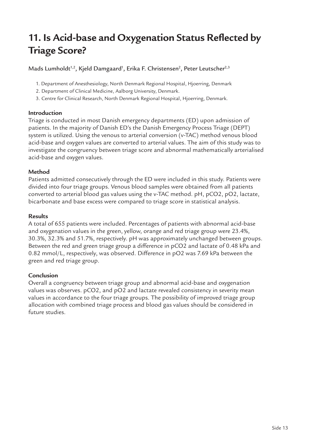### **11. Is Acid-base and Oxygenation Status Reflected by Triage Score?**

Mads Lumholdt<sup>1,2</sup>, Kjeld Damgaard<sup>1</sup>, Erika F. Christensen<sup>2</sup>, Peter Leutscher<sup>2,3</sup>

- 1. Department of Anesthesiology, North Denmark Regional Hospital, Hjoerring, Denmark
- 2. Department of Clinical Medicine, Aalborg University, Denmark.
- 3. Centre for Clinical Research, North Denmark Regional Hospital, Hjoerring, Denmark.

### **Introduction**

Triage is conducted in most Danish emergency departments (ED) upon admission of patients. In the majority of Danish ED's the Danish Emergency Process Triage (DEPT) system is utilized. Using the venous to arterial conversion (v-TAC) method venous blood acid-base and oxygen values are converted to arterial values. The aim of this study was to investigate the congruency between triage score and abnormal mathematically arterialised acid-base and oxygen values.

### **Method**

Patients admitted consecutively through the ED were included in this study. Patients were divided into four triage groups. Venous blood samples were obtained from all patients converted to arterial blood gas values using the v-TAC method. pH, pCO2, pO2, lactate, bicarbonate and base excess were compared to triage score in statistical analysis.

### **Results**

A total of 655 patients were included. Percentages of patients with abnormal acid-base and oxygenation values in the green, yellow, orange and red triage group were 23.4%, 30.3%, 32.3% and 51.7%, respectively. pH was approximately unchanged between groups. Between the red and green triage group a difference in pCO2 and lactate of 0.48 kPa and 0.82 mmol/L, respectively, was observed. Difference in pO2 was 7.69 kPa between the green and red triage group.

### **Conclusion**

Overall a congruency between triage group and abnormal acid-base and oxygenation values was observes. pCO2, and pO2 and lactate revealed consistency in severity mean values in accordance to the four triage groups. The possibility of improved triage group allocation with combined triage process and blood gas values should be considered in future studies.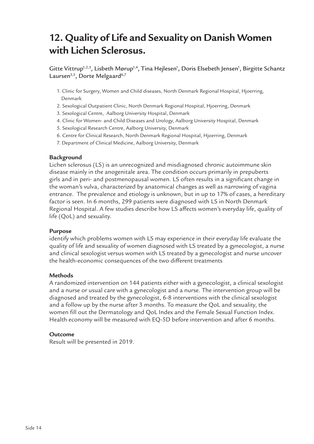### **12. Quality of Life and Sexuality on Danish Women with Lichen Sclerosus.**

Gitte Vittrup<sup>1,2,3</sup>, Lisbeth Mørup<sup>1,4</sup>, Tina Hejlesen<sup>1</sup>, Doris Elsebeth Jensen<sup>1</sup>, Birgitte Schantz Laursen<sup>3,5</sup>, Dorte Melgaard<sup>6,7</sup>

- 1. Clinic for Surgery, Women and Child diseases, North Denmark Regional Hospital, Hjoerring, Denmark
- 2. Sexological Outpatient Clinic, North Denmark Regional Hospital, Hjoerring, Denmark
- 3. Sexological Centre, Aalborg University Hospital, Denmark
- 4. Clinic for Women- and Child Diseases and Urology, Aalborg University Hospital, Denmark
- 5. Sexological Research Centre, Aalborg University, Denmark
- 6. Centre for Clinical Research, North Denmark Regional Hospital, Hjoerring, Denmark
- 7. Department of Clinical Medicine, Aalborg University, Denmark

### **Background**

Lichen sclerosus (LS) is an unrecognized and misdiagnosed chronic autoimmune skin disease mainly in the anogenitale area. The condition occurs primarily in prepuberts girls and in peri- and postmenopausal women. LS often results in a significant change in the woman's vulva, characterized by anatomical changes as well as narrowing of vagina entrance. The prevalence and etiology is unknown, but in up to 17% of cases, a hereditary factor is seen. In 6 months, 299 patients were diagnosed with LS in North Denmark Regional Hospital. A few studies describe how LS affects women's everyday life, quality of life (QoL) and sexuality.

### **Purpose**

identify which problems women with LS may experience in their everyday life evaluate the quality of life and sexuality of women diagnosed with LS treated by a gynecologist, a nurse and clinical sexologist versus women with LS treated by a gynecologist and nurse uncover the health-economic consequences of the two different treatments

### **Methods**

A randomized intervention on 144 patients either with a gynecologist, a clinical sexologist and a nurse or usual care with a gynecologist and a nurse. The intervention group will be diagnosed and treated by the gynecologist, 6-8 interventions with the clinical sexologist and a follow up by the nurse after 3 months. To measure the QoL and sexuality, the women fill out the Dermatology and QoL Index and the Female Sexual Function Index. Health economy will be measured with EQ-5D before intervention and after 6 months.

### **Outcome**

Result will be presented in 2019.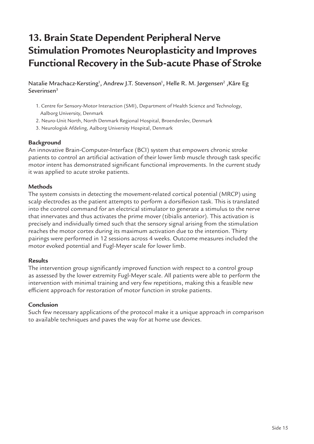# **13. Brain State Dependent Peripheral Nerve Stimulation Promotes Neuroplasticity and Improves Functional Recovery in the Sub-acute Phase of Stroke**

Natalie Mrachacz-Kersting<sup>1</sup>, Andrew J.T. Stevenson<sup>1</sup>, Helle R. M. Jørgensen<sup>2</sup> ,Kåre Eg Severinsen3

- 1. Centre for Sensory-Motor Interaction (SMI), Department of Health Science and Technology, Aalborg University, Denmark
- 2. Neuro-Unit North, North Denmark Regional Hospital, Broenderslev, Denmark
- 3. Neurologisk Afdeling, Aalborg University Hospital, Denmark

### **Background**

An innovative Brain-Computer-Interface (BCI) system that empowers chronic stroke patients to control an artificial activation of their lower limb muscle through task specific motor intent has demonstrated significant functional improvements. In the current study it was applied to acute stroke patients.

### **Methods**

The system consists in detecting the movement-related cortical potential (MRCP) using scalp electrodes as the patient attempts to perform a dorsiflexion task. This is translated into the control command for an electrical stimulator to generate a stimulus to the nerve that innervates and thus activates the prime mover (tibialis anterior). This activation is precisely and individually timed such that the sensory signal arising from the stimulation reaches the motor cortex during its maximum activation due to the intention. Thirty pairings were performed in 12 sessions across 4 weeks. Outcome measures included the motor evoked potential and Fugl-Meyer scale for lower limb.

### **Results**

The intervention group significantly improved function with respect to a control group as assessed by the lower extremity Fugl-Meyer scale. All patients were able to perform the intervention with minimal training and very few repetitions, making this a feasible new efficient approach for restoration of motor function in stroke patients.

### **Conclusion**

Such few necessary applications of the protocol make it a unique approach in comparison to available techniques and paves the way for at home use devices.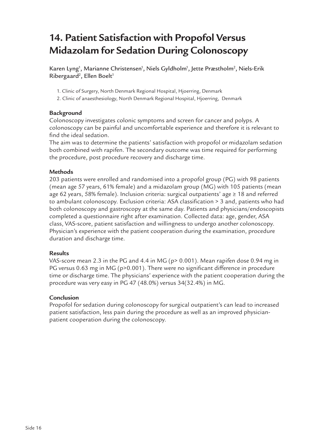### **14. Patient Satisfaction with Propofol Versus Midazolam for Sedation During Colonoscopy**

Karen Lyng<sup>1</sup>, Marianne Christensen<sup>1</sup>, Niels Gyldholm<sup>1</sup>, Jette Præstholm<sup>2</sup>, Niels-Erik Ribergaard<sup>2</sup>, Ellen Boelt<sup>1</sup>

- 1. Clinic of Surgery, North Denmark Regional Hospital, Hjoerring, Denmark
- 2. Clinic of anaesthesiology, North Denmark Regional Hospital, Hjoerring, Denmark

### **Background**

Colonoscopy investigates colonic symptoms and screen for cancer and polyps. A colonoscopy can be painful and uncomfortable experience and therefore it is relevant to find the ideal sedation.

The aim was to determine the patients' satisfaction with propofol or midazolam sedation both combined with rapifen. The secondary outcome was time required for performing the procedure, post procedure recovery and discharge time.

### **Methods**

203 patients were enrolled and randomised into a propofol group (PG) with 98 patients (mean age 57 years, 61% female) and a midazolam group (MG) with 105 patients (mean age 62 years, 58% female). Inclusion criteria: surgical outpatients' age ≥ 18 and referred to ambulant colonoscopy. Exclusion criteria: ASA classification > 3 and, patients who had both colonoscopy and gastroscopy at the same day. Patients and physicians/endoscopists completed a questionnaire right after examination. Collected data: age, gender, ASA class, VAS-score, patient satisfaction and willingness to undergo another colonoscopy. Physician's experience with the patient cooperation during the examination, procedure duration and discharge time.

### **Results**

VAS-score mean 2.3 in the PG and 4.4 in MG (p> 0.001). Mean rapifen dose 0.94 mg in PG versus 0.63 mg in MG (p>0.001). There were no significant difference in procedure time or discharge time. The physicians' experience with the patient cooperation during the procedure was very easy in PG 47 (48.0%) versus 34(32.4%) in MG.

### **Conclusion**

Propofol for sedation during colonoscopy for surgical outpatient's can lead to increased patient satisfaction, less pain during the procedure as well as an improved physicianpatient cooperation during the colonoscopy.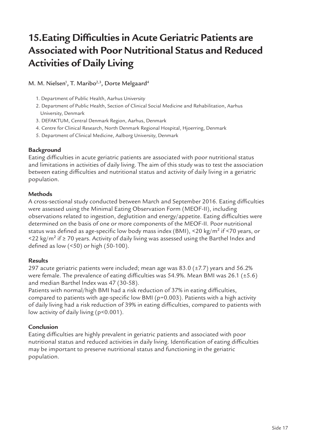## **15.Eating Difficulties in Acute Geriatric Patients are Associated with Poor Nutritional Status and Reduced Activities of Daily Living**

M. M. Nielsen<sup>1</sup>, T. Maribo<sup>2,3</sup>, Dorte Melgaard<sup>4</sup>

- 1. Department of Public Health, Aarhus University
- 2. Department of Public Health, Section of Clinical Social Medicine and Rehabilitation, Aarhus University, Denmark
- 3. DEFAKTUM, Central Denmark Region, Aarhus, Denmark
- 4. Centre for Clinical Research, North Denmark Regional Hospital, Hjoerring, Denmark
- 5. Department of Clinical Medicine, Aalborg University, Denmark

### **Background**

Eating difficulties in acute geriatric patients are associated with poor nutritional status and limitations in activities of daily living. The aim of this study was to test the association between eating difficulties and nutritional status and activity of daily living in a geriatric population.

### **Methods**

A cross-sectional study conducted between March and September 2016. Eating difficulties were assessed using the Minimal Eating Observation Form (MEOF-II), including observations related to ingestion, deglutition and energy/appetite. Eating difficulties were determined on the basis of one or more components of the MEOF-II. Poor nutritional status was defined as age-specific low body mass index (BMI), <20 kg/m<sup>2</sup> if <70 years, or <22 kg/m² if ≥ 70 years. Activity of daily living was assessed using the Barthel Index and defined as low (<50) or high (50-100).

### **Results**

297 acute geriatric patients were included; mean age was 83.0 (±7.7) years and 56.2% were female. The prevalence of eating difficulties was 54.9%. Mean BMI was 26.1 (±5.6) and median Barthel Index was 47 (30-58).

Patients with normal/high BMI had a risk reduction of 37% in eating difficulties, compared to patients with age-specific low BMI (p=0.003). Patients with a high activity of daily living had a risk reduction of 39% in eating difficulties, compared to patients with low activity of daily living (p<0.001).

### **Conclusion**

Eating difficulties are highly prevalent in geriatric patients and associated with poor nutritional status and reduced activities in daily living. Identification of eating difficulties may be important to preserve nutritional status and functioning in the geriatric population.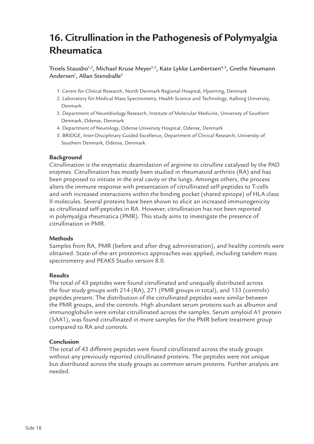### **16. Citrullination in the Pathogenesis of Polymyalgia Rheumatica**

Troels Stausbo<sup>1,2</sup>, Michael Kruse Meyer<sup>1,2</sup>, Kate Lykke Lambertsen<sup>4,5</sup>, Grethe Neumann Andersen $^{\rm l}$ , Allan Stensballe $^{\rm 2}$ 

- 1. Centre for Clinical Research, North Denmark Regional Hospital, Hjoerring, Denmark
- 2. Laboratory for Medical Mass Spectrometry, Health Science and Technology, Aalborg University, Denmark.
- 3. Department of Neurobiology Research, Institute of Molecular Medicine, University of Southern Denmark, Odense, Denmark
- 4. Department of Neurology, Odense University Hospital, Odense, Denmark
- 5. BRIDGE, Inter-Disciplinary Guided Excellence, Department of Clinical Research, University of Southern Denmark, Odense, Denmark

### **Background**

Citrullination is the enzymatic deamidation of arginine to citrulline catalysed by the PAD enzymes. Citrullination has mostly been studied in rheumatoid arthritis (RA) and has been proposed to initiate in the oral cavity or the lungs. Amongst others, the process alters the immune response with presentation of citrullinated self-peptides to T-cells and with increased interactions within the binding pocket (shared epitope) of HLA class II molecules. Several proteins have been shown to elicit an increased immunogenicity as citrullinated self-peptides in RA. However, citrullination has not been reported in polymyalgia rheumatica (PMR). This study aims to investigate the presence of citrullination in PMR.

### **Methods**

Samples from RA, PMR (before and after drug administration), and healthy controls were obtained. State-of-the-art proteomics approaches was applied, including tandem mass spectrometry and PEAKS Studio version 8.0.

### **Results**

The total of 43 peptides were found citrullinated and unequally distributed across the four study groups with 214 (RA), 271 (PMR groups in total), and 133 (controls) peptides present. The distribution of the citrullinated peptides were similar between the PMR groups, and the controls. High abundant serum proteins such as albumin and immunoglobulin were similar citrullinated across the samples. Serum amyloid A1 protein (SAA1), was found citrullinated in more samples for the PMR before treatment group compared to RA and controls.

### **Conclusion**

The total of 43 different peptides were found citrullinated across the study groups without any previously reported citrullinated proteins. The peptides were not unique but distributed across the study groups as common serum proteins. Further analysis are needed.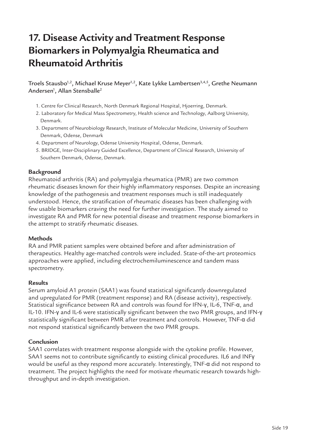### **17. Disease Activity and Treatment Response Biomarkers in Polymyalgia Rheumatica and Rheumatoid Arthritis**

Troels Stausbo<sup>1,2</sup>, Michael Kruse Meyer<sup>1,2</sup>, Kate Lykke Lambertsen<sup>3,4,5</sup>, Grethe Neumann Andersen<sup>1</sup>, Allan Stensballe<sup>2</sup>

- 1. Centre for Clinical Research, North Denmark Regional Hospital, Hjoerring, Denmark.
- 2. Laboratory for Medical Mass Spectrometry, Health science and Technology, Aalborg University, Denmark.
- 3. Department of Neurobiology Research, Institute of Molecular Medicine, University of Southern Denmark, Odense, Denmark
- 4. Department of Neurology, Odense University Hospital, Odense, Denmark.
- 5. BRIDGE, Inter-Disciplinary Guided Excellence, Department of Clinical Research, University of Southern Denmark, Odense, Denmark.

### **Background**

Rheumatoid arthritis (RA) and polymyalgia rheumatica (PMR) are two common rheumatic diseases known for their highly inflammatory responses. Despite an increasing knowledge of the pathogenesis and treatment responses much is still inadequately understood. Hence, the stratification of rheumatic diseases has been challenging with few usable biomarkers craving the need for further investigation. The study aimed to investigate RA and PMR for new potential disease and treatment response biomarkers in the attempt to stratify rheumatic diseases.

#### **Methods**

RA and PMR patient samples were obtained before and after administration of therapeutics. Healthy age-matched controls were included. State-of-the-art proteomics approaches were applied, including electrochemiluminescence and tandem mass spectrometry.

#### **Results**

Serum amyloid A1 protein (SAA1) was found statistical significantly downregulated and upregulated for PMR (treatment response) and RA (disease activity), respectively. Statistical significance between RA and controls was found for IFN-γ, IL-6, TNF-α, and IL-10. IFN-γ and IL-6 were statistically significant between the two PMR groups, and IFN-γ statistically significant between PMR after treatment and controls. However, TNF-α did not respond statistical significantly between the two PMR groups.

#### **Conclusion**

SAA1 correlates with treatment response alongside with the cytokine profile. However, SAA1 seems not to contribute significantly to existing clinical procedures. IL6 and INFy would be useful as they respond more accurately. Interestingly, TNF-α did not respond to treatment. The project highlights the need for motivate rheumatic research towards highthroughput and in-depth investigation.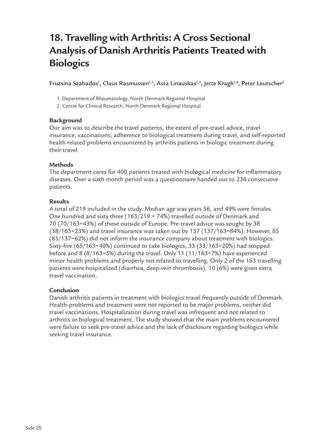### **18. Travelling with Arthritis: A Cross Sectional Analysis of Danish Arthritis Patients Treated with Biologics**

Fruzsina Szabados<sup>1</sup>, Claus Rasmussen<sup>1,2</sup>, Asta Linauskas<sup>1,3</sup>, Jette Kragh<sup>1,4</sup>, Peter Leutscher<sup>2</sup>

- 1. Department of Rheumatology, North Denmark Regional Hospital
- 2. Centre for Clinical Research, North Denmark Regional Hospital

### **Background**

Our aim was to describe the travel patterns, the extent of pre-travel advice, travel insurance, vaccinations, adherence to biological treatment during travel, and self-reported health related problems encountered by arthritis patients in biologic treatment during their travel.

### **Methods**

The department cares for 400 patients treated with biological medicine for inflammatory diseases. Over a sixth month period was a questionnaire handed out to 236 consecutive patients.

### **Results**

A total of 219 included in the study. Median age was years 56, and 49% were females. One hundred and sixty three (163/219 = 74%) travelled outside of Denmark and 70 (70/163=43%) of those outside of Europe. Pre-travel advice was sought by 38 (38/163=23%) and travel insurance was taken out by 137 (137/163=84%). However, 85 (85/137=62%) did not inform the insurance company about treatment with biologics. Sixty-five (65/163=40%) continued to take biologics, 33 (33/163=20%) had stopped before and 8 (8/163=5%) during the travel. Only 11 (11/163=7%) have experienced minor health problems and properly not related to travelling. Only 2 of the 163 travelling patients were hospitalized (diarrhea, deep-vein thrombosis). 10 (6%) were given extra travel vaccination.

### **Conclusion**

Danish arthritis patients in treatment with biologics travel frequently outside of Denmark. Health-problems and treatment were not reported to be major problems, neither did travel vaccinations. Hospitalization during travel was infrequent and not related to arthritis or biological treatment. The study showed that the main problems encountered were failure to seek pre-travel advice and the lack of disclosure regarding biologics while seeking travel insurance.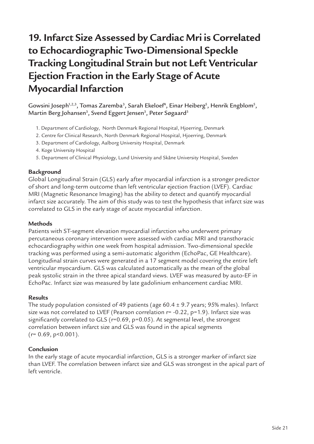# **19. Infarct Size Assessed by Cardiac Mri is Correlated to Echocardiographic Two-Dimensional Speckle Tracking Longitudinal Strain but not Left Ventricular Ejection Fraction in the Early Stage of Acute Myocardial Infarction**

Gowsini Joseph<sup>1,2,3</sup>, Tomas Zaremba<sup>3</sup>, Sarah Ekeloef<sup>4</sup>, Einar Heiberg<sup>5</sup>, Henrik Engblom<sup>5</sup>, Martin Berg Johansen<sup>3</sup>, Svend Eggert Jensen<sup>3</sup>, Peter Søgaard<sup>3</sup>

- 1. Department of Cardiology, North Denmark Regional Hospital, Hjoerring, Denmark
- 2. Centre for Clinical Research, North Denmark Regional Hospital, Hjoerring, Denmark
- 3. Department of Cardiology, Aalborg University Hospital, Denmark
- 4. Koge University Hospital
- 5. Department of Clinical Physiology, Lund University and Skåne University Hospital, Sweden

### **Background**

Global Longitudinal Strain (GLS) early after myocardial infarction is a stronger predictor of short and long-term outcome than left ventricular ejection fraction (LVEF). Cardiac MRI (Magnetic Resonance Imaging) has the ability to detect and quantify myocardial infarct size accurately. The aim of this study was to test the hypothesis that infarct size was correlated to GLS in the early stage of acute myocardial infarction.

### **Methods**

Patients with ST-segment elevation myocardial infarction who underwent primary percutaneous coronary intervention were assessed with cardiac MRI and transthoracic echocardiography within one week from hospital admission. Two-dimensional speckle tracking was performed using a semi-automatic algorithm (EchoPac, GE Healthcare). Longitudinal strain curves were generated in a 17 segment model covering the entire left ventricular myocardium. GLS was calculated automatically as the mean of the global peak systolic strain in the three apical standard views. LVEF was measured by auto-EF in EchoPac. Infarct size was measured by late gadolinium enhancement cardiac MRI.

### **Results**

The study population consisted of 49 patients (age  $60.4 \pm 9.7$  years; 95% males). Infarct size was not correlated to LVEF (Pearson correlation r= -0.22, p=1.9). Infarct size was significantly correlated to GLS (r=0.69, p=0.05). At segmental level, the strongest correlation between infarct size and GLS was found in the apical segments  $(r= 0.69, p<0.001)$ .

### **Conclusion**

In the early stage of acute myocardial infarction, GLS is a stronger marker of infarct size than LVEF. The correlation between infarct size and GLS was strongest in the apical part of left ventricle.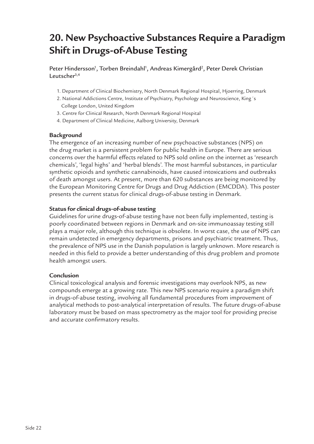## **20. New Psychoactive Substances Require a Paradigm Shift in Drugs-of-Abuse Testing**

Peter Hindersson<sup>1</sup>, Torben Breindahl<sup>1</sup>, Andreas Kimergård<sup>2</sup>, Peter Derek Christian Leutsche $r^{3,4}$ 

- 1. Department of Clinical Biochemistry, North Denmark Regional Hospital, Hjoerring, Denmark
- 2. National Addictions Centre, Institute of Psychiatry, Psychology and Neuroscience, King´s College London, United Kingdom
- 3. Centre for Clinical Research, North Denmark Regional Hospital
- 4. Department of Clinical Medicine, Aalborg University, Denmark

### **Background**

The emergence of an increasing number of new psychoactive substances (NPS) on the drug market is a persistent problem for public health in Europe. There are serious concerns over the harmful effects related to NPS sold online on the internet as 'research chemicals', 'legal highs' and 'herbal blends'. The most harmful substances, in particular synthetic opioids and synthetic cannabinoids, have caused intoxications and outbreaks of death amongst users. At present, more than 620 substances are being monitored by the European Monitoring Centre for Drugs and Drug Addiction (EMCDDA). This poster presents the current status for clinical drugs-of-abuse testing in Denmark.

### **Status for clinical drugs-of-abuse testing**

Guidelines for urine drugs-of-abuse testing have not been fully implemented, testing is poorly coordinated between regions in Denmark and on-site immunoassay testing still plays a major role, although this technique is obsolete. In worst case, the use of NPS can remain undetected in emergency departments, prisons and psychiatric treatment. Thus, the prevalence of NPS use in the Danish population is largely unknown. More research is needed in this field to provide a better understanding of this drug problem and promote health amongst users.

### **Conclusion**

Clinical toxicological analysis and forensic investigations may overlook NPS, as new compounds emerge at a growing rate. This new NPS scenario require a paradigm shift in drugs-of-abuse testing, involving all fundamental procedures from improvement of analytical methods to post-analytical interpretation of results. The future drugs-of-abuse laboratory must be based on mass spectrometry as the major tool for providing precise and accurate confirmatory results.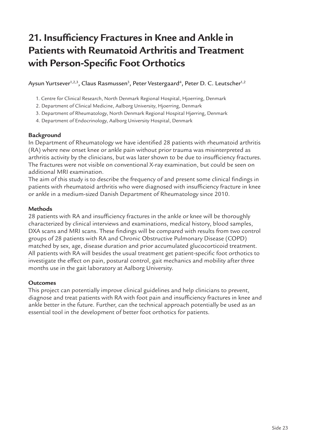# **21. Insufficiency Fractures in Knee and Ankle in Patients with Reumatoid Arthritis and Treatment with Person-Specific Foot Orthotics**

Aysun Yurtsever $^{1,2,3},$  Claus Rasmussen $^3,$  Peter Vestergaard $^4,$  Peter D. C. Leutscher $^{1,2}$ 

- 1. Centre for Clinical Research, North Denmark Regional Hospital, Hjoerring, Denmark
- 2. Department of Clinical Medicine, Aalborg University, Hjoerring, Denmark
- 3. Department of Rheumatology, North Denmark Regional Hospital Hjørring, Denmark
- 4. Department of Endocrinology, Aalborg University Hospital, Denmark

### **Background**

In Department of Rheumatology we have identified 28 patients with rheumatoid arthritis (RA) where new onset knee or ankle pain without prior trauma was misinterpreted as arthritis activity by the clinicians, but was later shown to be due to insufficiency fractures. The fractures were not visible on conventional X-ray examination, but could be seen on additional MRI examination.

The aim of this study is to describe the frequency of and present some clinical findings in patients with rheumatoid arthritis who were diagnosed with insufficiency fracture in knee or ankle in a medium-sized Danish Department of Rheumatology since 2010.

### **Methods**

28 patients with RA and insufficiency fractures in the ankle or knee will be thoroughly characterized by clinical interviews and examinations, medical history, blood samples, DXA scans and MRI scans. These findings will be compared with results from two control groups of 28 patients with RA and Chronic Obstructive Pulmonary Disease (COPD) matched by sex, age, disease duration and prior accumulated glucocorticoid treatment. All patients with RA will besides the usual treatment get patient-specific foot orthotics to investigate the effect on pain, postural control, gait mechanics and mobility after three months use in the gait laboratory at Aalborg University.

### **Outcomes**

This project can potentially improve clinical guidelines and help clinicians to prevent, diagnose and treat patients with RA with foot pain and insufficiency fractures in knee and ankle better in the future. Further, can the technical approach potentially be used as an essential tool in the development of better foot orthotics for patients.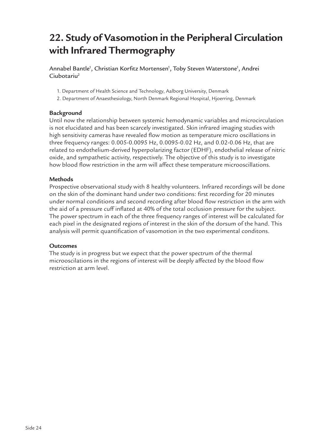### **22. Study of Vasomotion in the Peripheral Circulation with Infrared Thermography**

Annabel Bantle<sup>1</sup>, Christian Korfitz Mortensen<sup>1</sup>, Toby Steven Waterstone<sup>1</sup>, Andrei Ciubotariu<sup>2</sup>

- 1. Department of Health Science and Technology, Aalborg University, Denmark
- 2. Department of Anaesthesiology, North Denmark Regional Hospital, Hjoerring, Denmark

### **Background**

Until now the relationship between systemic hemodynamic variables and microcirculation is not elucidated and has been scarcely investigated. Skin infrared imaging studies with high sensitivity cameras have revealed flow motion as temperature micro oscillations in three frequency ranges: 0.005-0.0095 Hz, 0.0095-0.02 Hz, and 0.02-0.06 Hz, that are related to endothelium-derived hyperpolarizing factor (EDHF), endothelial release of nitric oxide, and sympathetic activity, respectively. The objective of this study is to investigate how blood flow restriction in the arm will affect these temperature microoscillations.

### **Methods**

Prospective observational study with 8 healthy volunteers. Infrared recordings will be done on the skin of the dominant hand under two conditions: first recording for 20 minutes under normal conditions and second recording after blood flow restriction in the arm with the aid of a pressure cuff inflated at 40% of the total occlusion pressure for the subject. The power spectrum in each of the three frequency ranges of interest will be calculated for each pixel in the designated regions of interest in the skin of the dorsum of the hand. This analysis will permit quantification of vasomotion in the two experimental conditons.

### **Outcomes**

The study is in progress but we expect that the power spectrum of the thermal microoscilations in the regions of interest will be deeply affected by the blood flow restriction at arm level.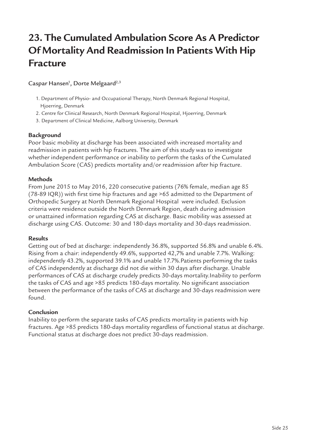### **23. The Cumulated Ambulation Score As A Predictor Of Mortality And Readmission In Patients With Hip Fracture**

Caspar Hansen<sup>1</sup>, Dorte Melgaard<sup>2,3</sup>

- 1. Department of Physio- and Occupational Therapy, North Denmark Regional Hospital, Hjoerring, Denmark
- 2. Centre for Clinical Research, North Denmark Regional Hospital, Hjoerring, Denmark
- 3. Department of Clinical Medicine, Aalborg University, Denmark

### **Background**

Poor basic mobility at discharge has been associated with increased mortality and readmission in patients with hip fractures. The aim of this study was to investigate whether independent performance or inability to perform the tasks of the Cumulated Ambulation Score (CAS) predicts mortality and/or readmission after hip fracture.

### **Methods**

From June 2015 to May 2016, 220 consecutive patients (76% female, median age 85 (78-89 IQR)) with first time hip fractures and age >65 admitted to the Department of Orthopedic Surgery at North Denmark Regional Hospital were included. Exclusion criteria were residence outside the North Denmark Region, death during admission or unattained information regarding CAS at discharge. Basic mobility was assessed at discharge using CAS. Outcome: 30 and 180-days mortality and 30-days readmission.

### **Results**

Getting out of bed at discharge: independently 36.8%, supported 56.8% and unable 6.4%. Rising from a chair: independently 49.6%, supported 42,7% and unable 7.7%. Walking: independently 43.2%, supported 39.1% and unable 17.7%.Patients performing the tasks of CAS independently at discharge did not die within 30 days after discharge. Unable performances of CAS at discharge crudely predicts 30-days mortality.Inability to perform the tasks of CAS and age >85 predicts 180-days mortality. No significant association between the performance of the tasks of CAS at discharge and 30-days readmission were found.

### **Conclusion**

Inability to perform the separate tasks of CAS predicts mortality in patients with hip fractures. Age >85 predicts 180-days mortality regardless of functional status at discharge. Functional status at discharge does not predict 30-days readmission.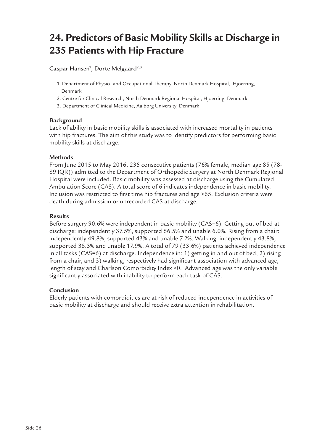# **24. Predictors of Basic Mobility Skills at Discharge in 235 Patients with Hip Fracture**

Caspar Hansen<sup>1</sup>, Dorte Melgaard<sup>2,3</sup>

- 1. Department of Physio- and Occupational Therapy, North Denmark Hospital, Hjoerring, Denmark
- 2. Centre for Clinical Research, North Denmark Regional Hospital, Hjoerring, Denmark
- 3. Department of Clinical Medicine, Aalborg University, Denmark

### **Background**

Lack of ability in basic mobility skills is associated with increased mortality in patients with hip fractures. The aim of this study was to identify predictors for performing basic mobility skills at discharge.

### **Methods**

From June 2015 to May 2016, 235 consecutive patients (76% female, median age 85 (78- 89 IQR)) admitted to the Department of Orthopedic Surgery at North Denmark Regional Hospital were included. Basic mobility was assessed at discharge using the Cumulated Ambulation Score (CAS). A total score of 6 indicates independence in basic mobility. Inclusion was restricted to first time hip fractures and age ≥65. Exclusion criteria were death during admission or unrecorded CAS at discharge.

### **Results**

Before surgery 90.6% were independent in basic mobility (CAS=6). Getting out of bed at discharge: independently 37.5%, supported 56.5% and unable 6.0%. Rising from a chair: independently 49.8%, supported 43% and unable 7.2%. Walking: independently 43.8%, supported 38.3% and unable 17.9%. A total of 79 (33.6%) patients achieved independence in all tasks (CAS=6) at discharge. Independence in: 1) getting in and out of bed, 2) rising from a chair, and 3) walking, respectively had significant association with advanced age, length of stay and Charlson Comorbidity Index >0. Advanced age was the only variable significantly associated with inability to perform each task of CAS.

### **Conclusion**

Elderly patients with comorbidities are at risk of reduced independence in activities of basic mobility at discharge and should receive extra attention in rehabilitation.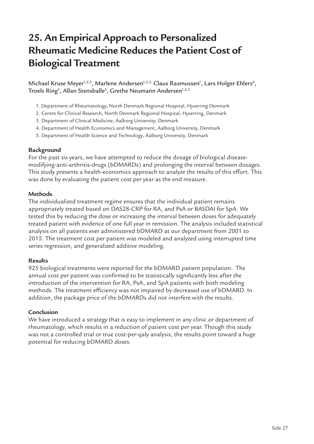### **25. An Empirical Approach to Personalized Rheumatic Medicine Reduces the Patient Cost of Biological Treatment**

Michael Kruse Meyer<sup>1,2,3</sup>, Marlene Andersen<sup>1,2,3,</sup> Claus Rasmussen<sup>1</sup>, Lars Holger Ehlers<sup>4</sup>, Troels Ring $^{\rm 5}$ , Allan Stensballe $^{\rm 5}$ , Grethe Neumann Andersen $^{\rm 1,2,3}$ 

- 1. Department of Rheumatology, North Denmark Regional Hospital, Hjoerring Denmark
- 2. Centre for Clinical Research, North Denmark Regional Hospital, Hjoerring, Denmark
- 3. Department of Clinical Medicine, Aalborg University, Denmark
- 4. Department of Health Economics and Management, Aalborg University, Denmark
- 5. Department of Health Science and Technology, Aalborg University, Denmark

#### **Background**

For the past six years, we have attempted to reduce the dosage of biological diseasemodifying-anti-arthritis-drugs (bDMARDs) and prolonging the interval between dosages. This study presents a health-economics approach to analyze the results of this effort. This was done by evaluating the patient cost per year as the end measure.

#### **Methods**

The individualized treatment regime ensures that the individual patient remains appropriately treated based on DAS28-CRP for RA, and PsA or BASDAI for SpA. We tested this by reducing the dose or increasing the interval between doses for adequately treated patient with evidence of one full year in remission. The analysis included statistical analysis on all patients ever administered bDMARD at our department from 2001 to 2015. The treatment cost per patient was modeled and analyzed using interrupted time series regression, and generalized additive modeling.

#### **Results**

925 biological treatments were reported for the bDMARD patient population. The annual cost per patient was confirmed to be statistically significantly less after the introduction of the intervention for RA, PsA, and SpA patients with both modeling methods. The treatment efficiency was not impaired by decreased use of bDMARD. In addition, the package price of the bDMARDs did not interfere with the results.

### **Conclusion**

We have introduced a strategy that is easy to implement in any clinic or department of rheumatology, which results in a reduction of patient cost per year. Though this study was not a controlled trial or true cost-per-qaly analysis, the results point toward a huge potential for reducing bDMARD doses.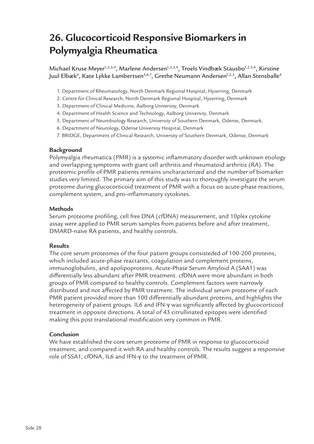### **26. Glucocorticoid Responsive Biomarkers in Polymyalgia Rheumatica**

Michael Kruse Meyer<sup>1,2,3,4</sup>, Marlene Andersen<sup>1,2,3,4</sup>, Troels Vindbæk Stausbo<sup>1,2,3,4</sup>, Kirstine Juul Elbæk<sup>4</sup>, Kate Lykke Lambertsen<sup>5,6,7</sup>, Grethe Neumann Andersen<sup>1,2,3</sup>, Allan Stensballe<sup>4</sup>

- 1. Department of Rheumatology, North Denmark Regional Hospital, Hjoerring, Denmark
- 2. Centre for Clinical Research, North Denmark Regional Hospital, Hjoerring, Denmark
- 3. Department of Clinical Medicine, Aalborg University, Denmark
- 4. Department of Health Science and Technology, Aalborg University, Denmark
- 5. Department of Neurobiology Research, University of Southern Denmark, Odense, Denmark,
- 6. Department of Neurology, Odense University Hospital, Denmark
- 7. BRIDGE, Department of Clinical Research, University of Southern Denmark, Odense, Denmark

### **Background**

Polymyalgia rheumatica (PMR) is a systemic inflammatory disorder with unknown etiology and overlapping symptoms with giant cell arthritis and rheumatoid arthritis (RA). The proteomic profile of PMR patients remains uncharacterized and the number of biomarker studies very limited. The primary aim of this study was to thoroughly investigate the serum proteome during glucocorticoid treatment of PMR with a focus on acute-phase reactions, complement system, and pro-inflammatory cytokines.

### **Methods**

Serum proteome profiling, cell free DNA (cfDNA) measurement, and 10plex cytokine assay were applied to PMR serum samples from patients before and after treatment, DMARD-naïve RA patients, and healthy controls.

### **Results**

The core serum proteomes of the four patient groups consisteded of 100-200 proteins, which included acute-phase reactants, coagulation and complement proteins, immunoglobulins, and apolipoproteins. Acute-Phase Serum Amyloid A (SAA1) was differentially less abundant after PMR treatment. cfDNA were more abundant in both groups of PMR compared to healthy controls. Complement factors were narrowly distributed and not affected by PMR treatment. The individual serum proteome of each PMR patient provided more than 100 differentially abundant proteins, and highlights the heterogeneity of patient groups. IL6 and IFN-γ was significantly affected by glucocorticoid treatment in opposite directions. A total of 43 citrullinated epitopes were identified making this post translational modification very common in PMR.

### **Conclusion**

We have established the core serum proteome of PMR in response to glucocorticoid treatment, and compared it with RA and healthy controls. The results suggest a responsive role of SSA1, cfDNA, IL6 and IFN-γ to the treatment of PMR.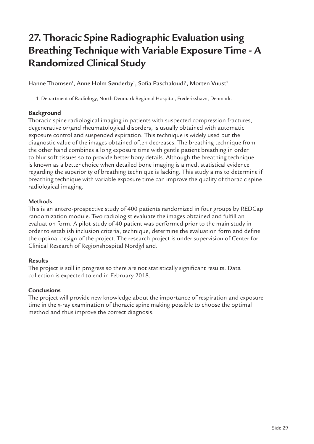# **27. Thoracic Spine Radiographic Evaluation using Breathing Technique with Variable Exposure Time - A Randomized Clinical Study**

Hanne Thomsen<sup>1</sup>, Anne Holm Sønderby<sup>1</sup>, Sofia Paschaloudi<sup>1</sup>, Morten Vuust<sup>1</sup>

1. Department of Radiology, North Denmark Regional Hospital, Frederikshavn, Denmark.

### **Background**

Thoracic spine radiological imaging in patients with suspected compression fractures, degenerative or\and rheumatological disorders, is usually obtained with automatic exposure control and suspended expiration. This technique is widely used but the diagnostic value of the images obtained often decreases. The breathing technique from the other hand combines a long exposure time with gentle patient breathing in order to blur soft tissues so to provide better bony details. Although the breathing technique is known as a better choice when detailed bone imaging is aimed, statistical evidence regarding the superiority of breathing technique is lacking. This study aims to determine if breathing technique with variable exposure time can improve the quality of thoracic spine radiological imaging.

### **Methods**

This is an antero-prospective study of 400 patients randomized in four groups by REDCap randomization module. Two radiologist evaluate the images obtained and fulfill an evaluation form. A pilot-study of 40 patient was performed prior to the main study in order to establish inclusion criteria, technique, determine the evaluation form and define the optimal design of the project. The research project is under supervision of Center for Clinical Research of Regionshospital Nordjylland.

### **Results**

The project is still in progress so there are not statistically significant results. Data collection is expected to end in February 2018.

### **Conclusions**

The project will provide new knowledge about the importance of respiration and exposure time in the x-ray examination of thoracic spine making possible to choose the optimal method and thus improve the correct diagnosis.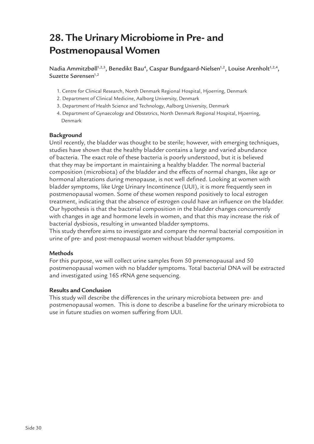### **28. The Urinary Microbiome in Pre- and Postmenopausal Women**

Nadia Ammitzbøll<sup>1,2,3</sup>, Benedikt Bau<sup>4</sup>, Caspar Bundgaard-Nielsen<sup>1,2</sup>, Louise Arenholt<sup>1,2,4</sup>, Suzette Sørensen<sup>1,2</sup>

- 1. Centre for Clinical Research, North Denmark Regional Hospital, Hjoerring, Denmark
- 2. Department of Clinical Medicine, Aalborg University, Denmark
- 3. Department of Health Science and Technology, Aalborg University, Denmark
- 4. Department of Gynaecology and Obstetrics, North Denmark Regional Hospital, Hjoerring, Denmark

### **Background**

Until recently, the bladder was thought to be sterile; however, with emerging techniques, studies have shown that the healthy bladder contains a large and varied abundance of bacteria. The exact role of these bacteria is poorly understood, but it is believed that they may be important in maintaining a healthy bladder. The normal bacterial composition (microbiota) of the bladder and the effects of normal changes, like age or hormonal alterations during menopause, is not well defined. Looking at women with bladder symptoms, like Urge Urinary Incontinence (UUI), it is more frequently seen in postmenopausal women. Some of these women respond positively to local estrogen treatment, indicating that the absence of estrogen could have an influence on the bladder. Our hypothesis is that the bacterial composition in the bladder changes concurrently with changes in age and hormone levels in women, and that this may increase the risk of bacterial dysbiosis, resulting in unwanted bladder symptoms.

This study therefore aims to investigate and compare the normal bacterial composition in urine of pre- and post-menopausal women without bladder symptoms.

### **Methods**

For this purpose, we will collect urine samples from 50 premenopausal and 50 postmenopausal women with no bladder symptoms. Total bacterial DNA will be extracted and investigated using 16S rRNA gene sequencing.

### **Results and Conclusion**

This study will describe the differences in the urinary microbiota between pre- and postmenopausal women. This is done to describe a baseline for the urinary microbiota to use in future studies on women suffering from UUI.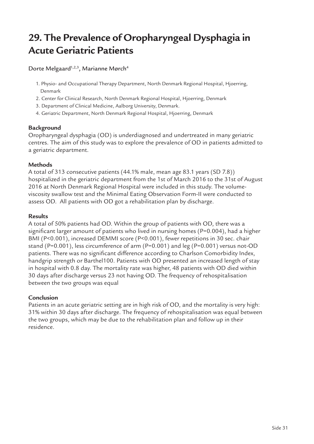### **29. The Prevalence of Oropharyngeal Dysphagia in Acute Geriatric Patients**

Dorte Melgaard<sup>1,2,3</sup>, Marianne Mørch<sup>4</sup>

- 1. Physio- and Occupational Therapy Department, North Denmark Regional Hospital, Hjoerring, Denmark
- 2. Center for Clinical Research, North Denmark Regional Hospital, Hjoerring, Denmark
- 3. Department of Clinical Medicine, Aalborg University, Denmark.
- 4. Geriatric Department, North Denmark Regional Hospital, Hjoerring, Denmark

### **Background**

Oropharyngeal dysphagia (OD) is underdiagnosed and undertreated in many geriatric centres. The aim of this study was to explore the prevalence of OD in patients admitted to a geriatric department.

### **Methods**

A total of 313 consecutive patients (44.1% male, mean age 83.1 years (SD 7.8)) hospitalized in the geriatric department from the 1st of March 2016 to the 31st of August 2016 at North Denmark Regional Hospital were included in this study. The volumeviscosity swallow test and the Minimal Eating Observation Form-II were conducted to assess OD. All patients with OD got a rehabilitation plan by discharge.

#### **Results**

A total of 50% patients had OD. Within the group of patients with OD, there was a significant larger amount of patients who lived in nursing homes (P=0.004), had a higher BMI (P<0.001), increased DEMMI score (P<0.001), fewer repetitions in 30 sec. chair stand (P=0.001), less circumference of arm (P=0.001) and leg (P=0.001) versus not-OD patients. There was no significant difference according to Charlson Comorbidity Index, handgrip strength or Barthel100. Patients with OD presented an increased length of stay in hospital with 0.8 day. The mortality rate was higher, 48 patients with OD died within 30 days after discharge versus 23 not having OD. The frequency of rehospitalisation between the two groups was equal

### **Conclusion**

Patients in an acute geriatric setting are in high risk of OD, and the mortality is very high: 31% within 30 days after discharge. The frequency of rehospitalisation was equal between the two groups, which may be due to the rehabilitation plan and follow up in their residence.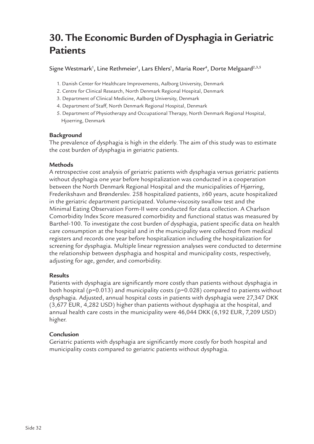### **30. The Economic Burden of Dysphagia in Geriatric Patients**

Signe Westmark<sup>1</sup>, Line Rethmeier<sup>1</sup>, Lars Ehlers<sup>1</sup>, Maria Roer<sup>4</sup>, Dorte Melgaard<sup>2,3,5</sup>

- 1. Danish Center for Healthcare Improvements, Aalborg University, Denmark
- 2. Centre for Clinical Research, North Denmark Regional Hospital, Denmark
- 3. Department of Clinical Medicine, Aalborg University, Denmark
- 4. Department of Staff, North Denmark Regional Hospital, Denmark
- 5. Department of Physiotherapy and Occupational Therapy, North Denmark Regional Hospital, Hjoerring, Denmark

### **Background**

The prevalence of dysphagia is high in the elderly. The aim of this study was to estimate the cost burden of dysphagia in geriatric patients.

### **Methods**

A retrospective cost analysis of geriatric patients with dysphagia versus geriatric patients without dysphagia one year before hospitalization was conducted in a cooperation between the North Denmark Regional Hospital and the municipalities of Hjørring, Frederikshavn and Brønderslev. 258 hospitalized patients, ≥60 years, acute hospitalized in the geriatric department participated. Volume-viscosity swallow test and the Minimal Eating Observation Form-II were conducted for data collection. A Charlson Comorbidity Index Score measured comorbidity and functional status was measured by Barthel-100. To investigate the cost burden of dysphagia, patient specific data on health care consumption at the hospital and in the municipality were collected from medical registers and records one year before hospitalization including the hospitalization for screening for dysphagia. Multiple linear regression analyses were conducted to determine the relationship between dysphagia and hospital and municipality costs, respectively, adjusting for age, gender, and comorbidity.

### **Results**

Patients with dysphagia are significantly more costly than patients without dysphagia in both hospital (p=0.013) and municipality costs (p=0.028) compared to patients without dysphagia. Adjusted, annual hospital costs in patients with dysphagia were 27,347 DKK (3,677 EUR, 4,282 USD) higher than patients without dysphagia at the hospital, and annual health care costs in the municipality were 46,044 DKK (6,192 EUR, 7,209 USD) higher.

### **Conclusion**

Geriatric patients with dysphagia are significantly more costly for both hospital and municipality costs compared to geriatric patients without dysphagia.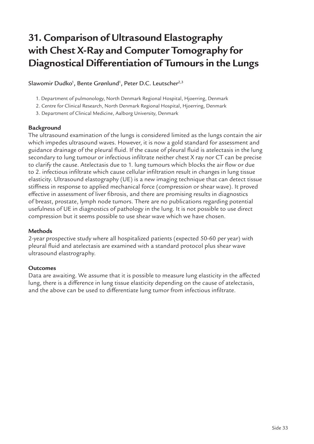# **31. Comparison of Ultrasound Elastography with Chest X-Ray and Computer Tomography for Diagnostical Differentiation of Tumours in the Lungs**

Slawomir Dudko<sup>1</sup>, Bente Grønlund<sup>1</sup>, Peter D.C. Leutscher<sup>2,3</sup>

- 1. Department of pulmonology, North Denmark Regional Hospital, Hjoerring, Denmark
- 2. Centre for Clinical Research, North Denmark Regional Hospital, Hjoerring, Denmark
- 3. Department of Clinical Medicine, Aalborg University, Denmark

### **Background**

The ultrasound examination of the lungs is considered limited as the lungs contain the air which impedes ultrasound waves. However, it is now a gold standard for assessment and guidance drainage of the pleural fluid. If the cause of pleural fluid is atelectasis in the lung secondary to lung tumour or infectious infiltrate neither chest X ray nor CT can be precise to clarify the cause. Atelectasis due to 1. lung tumours which blocks the air flow or due to 2. infectious infiltrate which cause cellular infiltration result in changes in lung tissue elasticity. Ultrasound elastography (UE) is a new imaging technique that can detect tissue stiffness in response to applied mechanical force (compression or shear wave). It proved effective in assessment of liver fibrosis, and there are promising results in diagnostics of breast, prostate, lymph node tumors. There are no publications regarding potential usefulness of UE in diagnostics of pathology in the lung. It is not possible to use direct compression but it seems possible to use shear wave which we have chosen.

### **Methods**

2-year prospective study where all hospitalized patients (expected 50-60 per year) with pleural fluid and atelectasis are examined with a standard protocol plus shear wave ultrasound elastrography.

### **Outcomes**

Data are awaiting. We assume that it is possible to measure lung elasticity in the affected lung, there is a difference in lung tissue elasticity depending on the cause of atelectasis, and the above can be used to differentiate lung tumor from infectious infiltrate.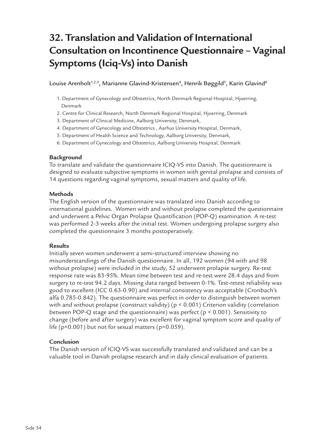# **32. Translation and Validation of International Consultation on Incontinence Questionnaire – Vaginal Symptoms (Iciq-Vs) into Danish**

Louise Arenholt<sup>1,2,3</sup>, Marianne Glavind-Kristensen<sup>4</sup>, Henrik Bøggild<sup>5</sup>, Karin Glavind<sup>6</sup>

- 1. Department of Gynecology and Obstetrics, North Denmark Regional Hospital, Hjoerring, Denmark
- 2. Centre for Clinical Research, North Denmark Regional Hospital, Hjoerring, Denmark
- 3. Department of Clinical Medicine, Aalborg University, Denmark,
- 4. Department of Gynecology and Obstetrics , Aarhus University Hospital, Denmark,
- 5. Department of Health Science and Technology, Aalborg University, Denmark,
- 6. Department of Gynecology and Obstetrics, Aalborg University Hospital, Denmark

### **Background**

To translate and validate the questionnaire ICIQ-VS into Danish. The questionnaire is designed to evaluate subjective symptoms in women with genital prolapse and consists of 14 questions regarding vaginal symptoms, sexual matters and quality of life.

### **Methods**

The English version of the questionnaire was translated into Danish according to international guidelines. Women with and without prolapse completed the questionnaire and underwent a Pelvic Organ Prolapse Quantification (POP-Q) examination. A re-test was performed 2-3 weeks after the initial test. Women undergoing prolapse surgery also completed the questionnaire 3 months postoperatively.

### **Results**

Initially seven women underwent a semi-structured interview showing no misunderstandings of the Danish questionnaire. In all, 192 women (94 with and 98 without prolapse) were included in the study, 52 underwent prolapse surgery. Re-test response rate was 83-95%. Mean time between test and re-test were 28.4 days and from surgery to re-test 94.2 days. Missing data ranged between 0-1%. Test-retest reliability was good to excellent (ICC 0.63-0.90) and internal consistency was acceptable (Cronbach's alfa 0.785-0.842). The questionnaire was perfect in order to distinguish between women with and without prolapse (construct validity) (p < 0.001) Criterion validity (correlation between POP-Q stage and the questionnaire) was perfect (p < 0.001). Sensitivity to change (before and after surgery) was excellent for vaginal symptom score and quality of life (p<0.001) but not for sexual matters (p=0.059).

### **Conclusion**

The Danish version of ICIQ-VS was successfully translated and validated and can be a valuable tool in Danish prolapse research and in daily clinical evaluation of patients.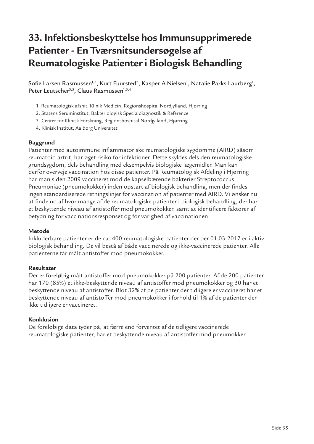### **33. Infektionsbeskyttelse hos Immunsupprimerede Patienter - En Tværsnitsundersøgelse af Reumatologiske Patienter i Biologisk Behandling**

Sofie Larsen Rasmussen<sup>1,3</sup>, Kurt Fuursted<sup>2</sup>, Kasper A Nielsen<sup>1</sup>, Natalie Parks Laurberg<sup>1</sup>, Peter Leutscher<sup>3,5</sup>, Claus Rasmussen<sup>1,3,4</sup>

- 1. Reumatologisk afsnit, Klinik Medicin, Regionshospital Nordjylland, Hjørring
- 2. Statens Seruminstitut, Bakteriologisk Specialdiagnostik & Reference
- 3. Center for Klinisk Forskning, Regionshospital Nordjylland, Hjørring
- 4. Klinisk Institut, Aalborg Universitet

### **Baggrund**

Patienter med autoimmune inflammatoriske reumatologiske sygdomme (AIRD) såsom reumatoid artrit, har øget risiko for infektioner. Dette skyldes dels den reumatologiske grundsygdom, dels behandling med eksempelvis biologiske lægemidler. Man kan derfor overveje vaccination hos disse patienter. På Reumatologisk Afdeling i Hjørring har man siden 2009 vaccineret mod de kapselbærende bakterier Streptococcus Pneumoniae (pneumokokker) inden opstart af biologisk behandling, men der findes ingen standardiserede retningslinjer for vaccination af patienter med AIRD. Vi ønsker nu at finde ud af hvor mange af de reumatologiske patienter i biologisk behandling, der har et beskyttende niveau af antistoffer mod pneumokokker, samt at identificere faktorer af betydning for vaccinationsresponset og for varighed af vaccinationen.

### **Metode**

Inkluderbare patienter er de ca. 400 reumatologiske patienter der per 01.03.2017 er i aktiv biologisk behandling. De vil bestå af både vaccinerede og ikke-vaccinerede patienter. Alle patienterne får målt antistoffer mod pneumokokker.

### **Resultater**

Der er foreløbig målt antistoffer mod pneumokokker på 200 patienter. Af de 200 patienter har 170 (85%) et ikke-beskyttende niveau af antistoffer mod pneumokokker og 30 har et beskyttende niveau af antistoffer. Blot 32% af de patienter der tidligere er vaccineret har et beskyttende niveau af antistoffer mod pneumokokker i forhold til 1% af de patienter der ikke tidligere er vaccineret.

### **Konklusion**

De foreløbige data tyder på, at færre end forventet af de tidligere vaccinerede reumatologiske patienter, har et beskyttende niveau af antistoffer mod pneumokker.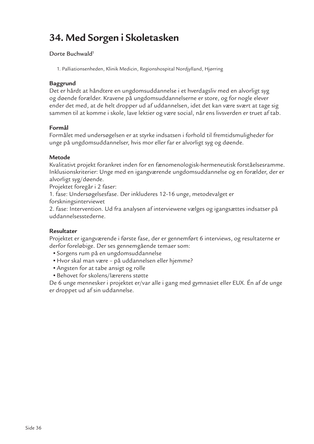### **34. Med Sorgen i Skoletasken**

### Dorte Buchwald<sup>1</sup>

1. Palliationsenheden, Klinik Medicin, Regionshospital Nordjylland, Hjørring

### **Baggrund**

Det er hårdt at håndtere en ungdomsuddannelse i et hverdagsliv med en alvorligt syg og døende forælder. Kravene på ungdomsuddannelserne er store, og for nogle elever ender det med, at de helt dropper ud af uddannelsen, idet det kan være svært at tage sig sammen til at komme i skole, lave lektier og være social, når ens livsverden er truet af tab.

### **Formål**

Formålet med undersøgelsen er at styrke indsatsen i forhold til fremtidsmuligheder for unge på ungdomsuddannelser, hvis mor eller far er alvorligt syg og døende.

### **Metode**

Kvalitativt projekt forankret inden for en fænomenologisk-hermeneutisk forståelsesramme. Inklusionskriterier: Unge med en igangværende ungdomsuddannelse og en forælder, der er alvorligt syg/døende.

Projektet foregår i 2 faser:

1. fase: Undersøgelsesfase. Der inkluderes 12-16 unge, metodevalget er

forskningsinterviewet

2. fase: Intervention. Ud fra analysen af interviewene vælges og igangsættes indsatser på uddannelsesstederne.

### **Resultater**

Projektet er igangværende i første fase, der er gennemført 6 interviews, og resultaterne er derfor foreløbige. Der ses gennemgående temaer som:

- •Sorgens rum på en ungdomsuddannelse
- •Hvor skal man være på uddannelsen eller hjemme?
- •Angsten for at tabe ansigt og rolle
- •Behovet for skolens/lærerens støtte

De 6 unge mennesker i projektet er/var alle i gang med gymnasiet eller EUX. Én af de unge er droppet ud af sin uddannelse.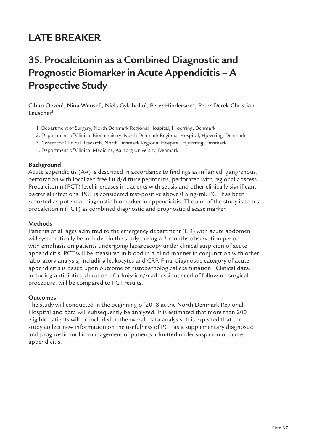### **LATE BREAKER**

### **35. Procalcitonin as a Combined Diagnostic and Prognostic Biomarker in Acute Appendicitis – A Prospective Study**

Cihan Oezen<sup>1</sup>, Nina Wensel<sup>1</sup>, Niels Gyldholm<sup>1</sup>, Peter Hinderson<sup>2</sup>, Peter Derek Christian Leuscher<sup>3,4</sup>

- 1. Department of Surgery, North Denmark Regional Hospital, Hjoerring, Denmark
- 2. Department of Clinical Biochemistry, North Denmark Regional Hospital, Hjoerring, Denmark
- 3. Centre for Clinical Research, North Denmark Regional Hospital, Hjoerring, Denmark
- 4. Department of Clinical Medicine, Aalborg University, Denmark

#### **Background**

Acute appendicitis (AA) is described in accordance to findings as inflamed, gangrenous, perforation with localized free fluid/diffuse peritonitis, perforated with regional abscess. Procalcitonin (PCT) level increases in patients with sepsis and other clinically significant bacterial infections. PCT is considered test-positive above 0.5 ng/ml. PCT has been reported as potential diagnostic biomarker in appendicitis. The aim of the study is to test procalcitonin (PCT) as combined diagnostic and prognostic disease marker.

#### **Methods**

Patients of all ages admitted to the emergency department (ED) with acute abdomen will systematically be included in the study during a 3 months observation period with emphasis on patients undergoing laparoscopy under clinical suspicion of acute appendicitis. PCT will be measured in blood in a blind manner in conjunction with other laboratory analysis, including leukocytes and CRP. Final diagnostic category of acute appendicitis is based upon outcome of histopathological examination. Clinical data, including antibiotics, duration of admission/readmission, need of follow-up surgical procedure, will be compared to PCT results.

#### **Outcomes**

The study will conducted in the beginning of 2018 at the North Denmark Regional Hospital and data will subsequently be analyzed. It is estimated that more than 200 eligible patients will be included in the overall data analysis. It is expected that the study collect new information on the usefulness of PCT as a supplementary diagnostic and prognostic tool in management of patients admitted under suspicion of acute appendicitis.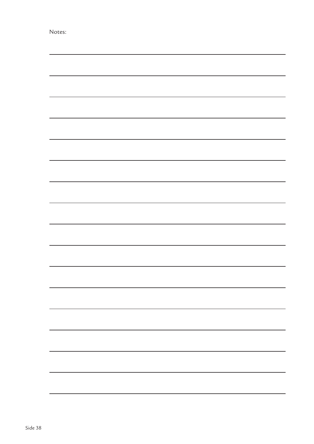| N. | ot |  |  |
|----|----|--|--|
|    |    |  |  |
|    |    |  |  |

|  | -                        |
|--|--------------------------|
|  |                          |
|  |                          |
|  |                          |
|  |                          |
|  |                          |
|  |                          |
|  |                          |
|  |                          |
|  |                          |
|  |                          |
|  |                          |
|  |                          |
|  |                          |
|  |                          |
|  |                          |
|  |                          |
|  |                          |
|  |                          |
|  | $\overline{\phantom{0}}$ |
|  |                          |
|  |                          |
|  |                          |
|  |                          |
|  |                          |
|  |                          |
|  |                          |
|  |                          |
|  |                          |
|  |                          |
|  |                          |
|  |                          |
|  |                          |
|  |                          |
|  |                          |
|  |                          |
|  |                          |
|  |                          |
|  |                          |
|  |                          |
|  |                          |
|  |                          |
|  |                          |
|  |                          |
|  |                          |
|  |                          |
|  |                          |
|  |                          |
|  |                          |
|  |                          |
|  |                          |
|  |                          |
|  |                          |
|  |                          |
|  |                          |
|  |                          |
|  |                          |
|  |                          |
|  |                          |
|  |                          |
|  |                          |
|  |                          |
|  |                          |
|  |                          |
|  |                          |
|  |                          |
|  |                          |
|  |                          |
|  |                          |
|  |                          |
|  |                          |
|  |                          |
|  |                          |
|  |                          |
|  |                          |
|  |                          |
|  |                          |
|  |                          |
|  |                          |
|  |                          |
|  |                          |
|  |                          |
|  |                          |
|  |                          |
|  |                          |
|  |                          |
|  |                          |
|  |                          |
|  |                          |
|  |                          |
|  |                          |
|  |                          |
|  |                          |
|  |                          |
|  |                          |
|  |                          |
|  |                          |
|  |                          |